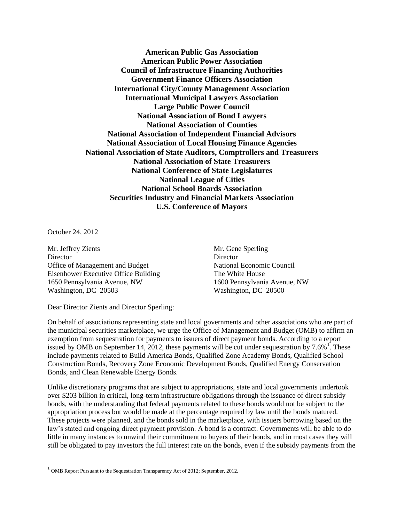**American Public Gas Association American Public Power Association Council of Infrastructure Financing Authorities Government Finance Officers Association International City/County Management Association International Municipal Lawyers Association Large Public Power Council National Association of Bond Lawyers National Association of Counties National Association of Independent Financial Advisors National Association of Local Housing Finance Agencies National Association of State Auditors, Comptrollers and Treasurers National Association of State Treasurers National Conference of State Legislatures National League of Cities National School Boards Association Securities Industry and Financial Markets Association U.S. Conference of Mayors**

October 24, 2012

Mr. Jeffrey Zients Mr. Gene Sperling Director Director Office of Management and Budget National Economic Council Eisenhower Executive Office Building The White House 1650 Pennsylvania Avenue, NW 1600 Pennsylvania Avenue, NW Washington, DC 20503 Washington, DC 20500

Dear Director Zients and Director Sperling:

On behalf of associations representing state and local governments and other associations who are part of the municipal securities marketplace, we urge the Office of Management and Budget (OMB) to affirm an exemption from sequestration for payments to issuers of direct payment bonds. According to a report issued by OMB on September 14, 2012, these payments will be cut under sequestration by  $7.6\%$ <sup>1</sup>. These include payments related to Build America Bonds, Qualified Zone Academy Bonds, Qualified School Construction Bonds, Recovery Zone Economic Development Bonds, Qualified Energy Conservation Bonds, and Clean Renewable Energy Bonds.

Unlike discretionary programs that are subject to appropriations, state and local governments undertook over \$203 billion in critical, long-term infrastructure obligations through the issuance of direct subsidy bonds, with the understanding that federal payments related to these bonds would not be subject to the appropriation process but would be made at the percentage required by law until the bonds matured. These projects were planned, and the bonds sold in the marketplace, with issuers borrowing based on the law's stated and ongoing direct payment provision. A bond is a contract. Governments will be able to do little in many instances to unwind their commitment to buyers of their bonds, and in most cases they will still be obligated to pay investors the full interest rate on the bonds, even if the subsidy payments from the

 1 OMB Report Pursuant to the Sequestration Transparency Act of 2012; September, 2012.